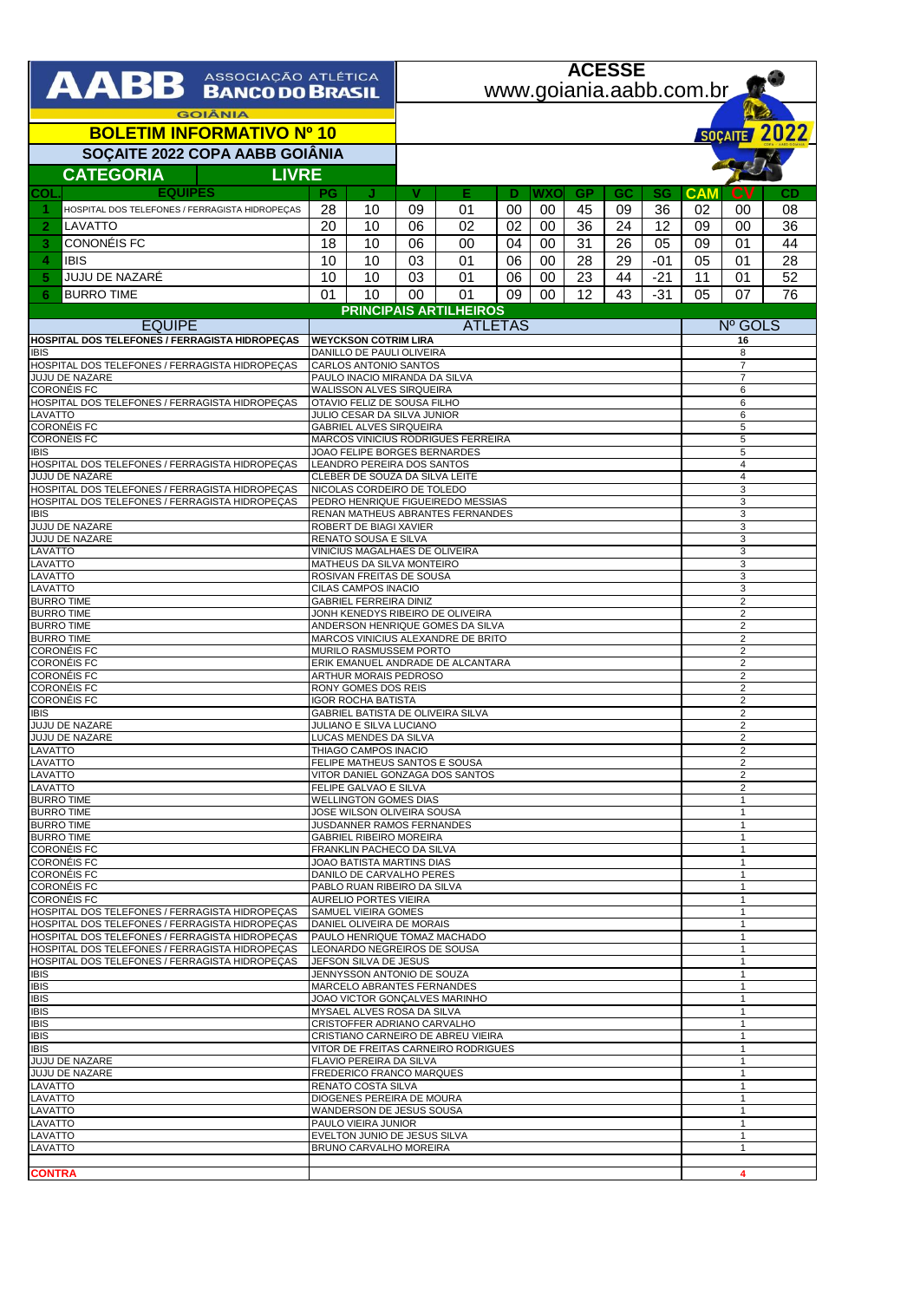| AABB ASSOCIAÇÃO ATLÉTICA                                                                         |                                                                             |                                                            | <b>ACESSE</b>                                                         |                                     |                |            |                              |                              |                              |                                |                                  |                                  |  |  |
|--------------------------------------------------------------------------------------------------|-----------------------------------------------------------------------------|------------------------------------------------------------|-----------------------------------------------------------------------|-------------------------------------|----------------|------------|------------------------------|------------------------------|------------------------------|--------------------------------|----------------------------------|----------------------------------|--|--|
|                                                                                                  |                                                                             |                                                            | www.goiania.aabb.com.br                                               |                                     |                |            |                              |                              |                              |                                |                                  |                                  |  |  |
| <b>GOIÂNIA</b>                                                                                   |                                                                             |                                                            |                                                                       |                                     |                |            |                              |                              |                              |                                |                                  |                                  |  |  |
| <b>BOLETIM INFORMATIVO Nº 10</b>                                                                 |                                                                             |                                                            |                                                                       | SOÇAITE 2022                        |                |            |                              |                              |                              |                                |                                  |                                  |  |  |
| SOÇAITE 2022 COPA AABB GOIÂNIA                                                                   |                                                                             |                                                            |                                                                       |                                     |                |            |                              |                              |                              |                                |                                  |                                  |  |  |
|                                                                                                  | <b>CATEGORIA</b><br><b>LIVRE</b>                                            |                                                            |                                                                       |                                     |                |            |                              |                              |                              |                                |                                  |                                  |  |  |
| <b>EQUIPES</b><br>COL<br>HOSPITAL DOS TELEFONES / FERRAGISTA HIDROPEÇAS<br>-1                    | <b>PG</b><br>28                                                             | J<br>10                                                    | V<br>09                                                               | Е<br>01                             | D<br>00        | WXOI<br>00 | <b>GP</b><br>45              | GC<br>09                     | SG<br>36                     | <b>CAM</b><br>02               | <b>CV</b><br>00                  | CD<br>08                         |  |  |
| $\mathbf{2}$<br>LAVATTO                                                                          | 20                                                                          | 10                                                         | 06                                                                    | 02                                  | 02             | 00         | 36                           | 24                           | 12                           | 09                             | 00                               | 36                               |  |  |
| CONONÉIS FC<br>3                                                                                 | 18                                                                          | 10                                                         | 06                                                                    | 00                                  | 04             | 00         | 31                           | 26                           | 05                           | 09                             | 01                               | 44                               |  |  |
| 4<br><b>IBIS</b>                                                                                 | 10                                                                          | 10                                                         | 03                                                                    | 01                                  | 06             | 00         | 28                           | 29                           | -01                          | 05                             | 01                               | 28                               |  |  |
| JUJU DE NAZARÉ<br>5                                                                              | 10                                                                          | 10                                                         | 03                                                                    | 01                                  | 06             | 00         | 23                           | 44                           | $-21$                        | 11                             | 01                               | 52                               |  |  |
| <b>BURRO TIME</b><br>6                                                                           | 01                                                                          | 10                                                         | $00\,$                                                                | 01<br><b>PRINCIPAIS ARTILHEIROS</b> | 09             | $00\,$     | 12                           | 43                           | $-31$                        | 05                             | 07                               | 76                               |  |  |
| <b>EQUIPE</b>                                                                                    |                                                                             |                                                            |                                                                       |                                     | <b>ATLETAS</b> |            |                              |                              |                              |                                | Nº GOLS                          |                                  |  |  |
| HOSPITAL DOS TELEFONES / FERRAGISTA HIDROPEÇAS                                                   | <b>WEYCKSON COTRIM LIRA</b>                                                 |                                                            |                                                                       |                                     |                |            |                              | 16                           |                              |                                |                                  |                                  |  |  |
| <b>IBIS</b><br>HOSPITAL DOS TELEFONES / FERRAGISTA HIDROPECAS                                    | DANILLO DE PAULI OLIVEIRA<br><b>CARLOS ANTONIO SANTOS</b>                   |                                                            |                                                                       |                                     |                |            |                              |                              | 8<br>$\overline{7}$          |                                |                                  |                                  |  |  |
| <b>JUJU DE NAZARE</b>                                                                            | PAULO INACIO MIRANDA DA SILVA<br><b>WALISSON ALVES SIRQUEIRA</b>            |                                                            |                                                                       |                                     |                |            |                              |                              | $\overline{7}$               |                                |                                  |                                  |  |  |
| <b>CORONÉIS FC</b><br>HOSPITAL DOS TELEFONES / FERRAGISTA HIDROPECAS                             |                                                                             | OTAVIO FELIZ DE SOUSA FILHO                                |                                                                       |                                     |                |            |                              |                              |                              | 6<br>6                         |                                  |                                  |  |  |
| LAVATTO<br><b>CORONÉIS FC</b>                                                                    | JULIO CESAR DA SILVA JUNIOR                                                 |                                                            |                                                                       |                                     |                |            | 6                            |                              |                              |                                |                                  |                                  |  |  |
| <b>CORONÉIS FC</b>                                                                               | <b>GABRIEL ALVES SIRQUEIRA</b><br><b>MARCOS VINICIUS RODRIGUES FERREIRA</b> |                                                            |                                                                       |                                     |                |            |                              | 5<br>5                       |                              |                                |                                  |                                  |  |  |
| <b>IBIS</b><br>HOSPITAL DOS TELEFONES / FERRAGISTA HIDROPECAS                                    | JOAO FELIPE BORGES BERNARDES<br>LEANDRO PEREIRA DOS SANTOS                  |                                                            |                                                                       |                                     |                |            |                              |                              |                              | 5<br>$\overline{4}$            |                                  |                                  |  |  |
| <b>JUJU DE NAZARE</b>                                                                            |                                                                             |                                                            | CLEBER DE SOUZA DA SILVA LEITE                                        |                                     |                |            |                              |                              |                              | $\overline{4}$                 |                                  |                                  |  |  |
| HOSPITAL DOS TELEFONES / FERRAGISTA HIDROPECAS<br>HOSPITAL DOS TELEFONES / FERRAGISTA HIDROPECAS |                                                                             | NICOLAS CORDEIRO DE TOLEDO                                 |                                                                       |                                     |                |            |                              |                              |                              | 3<br>3                         |                                  |                                  |  |  |
| <b>IBIS</b>                                                                                      |                                                                             |                                                            | PEDRO HENRIQUE FIGUEIREDO MESSIAS<br>RENAN MATHEUS ABRANTES FERNANDES |                                     |                |            |                              |                              |                              | 3                              |                                  |                                  |  |  |
| <b>JUJU DE NAZARE</b><br>JUJU DE NAZARE                                                          | ROBERT DE BIAGI XAVIER<br>RENATO SOUSA E SILVA                              |                                                            |                                                                       |                                     |                |            |                              | 3<br>3                       |                              |                                |                                  |                                  |  |  |
| LAVATTO                                                                                          |                                                                             |                                                            | VINICIUS MAGALHAES DE OLIVEIRA                                        |                                     |                |            |                              |                              |                              | 3                              |                                  |                                  |  |  |
| LAVATTO<br>LAVATTO                                                                               | MATHEUS DA SILVA MONTEIRO<br>ROSIVAN FREITAS DE SOUSA                       |                                                            |                                                                       |                                     |                |            |                              |                              |                              | 3<br>3                         |                                  |                                  |  |  |
| LAVATTO                                                                                          | CILAS CAMPOS INACIO                                                         |                                                            |                                                                       |                                     |                |            |                              |                              |                              | 3                              |                                  |                                  |  |  |
| <b>BURRO TIME</b><br><b>BURRO TIME</b>                                                           | <b>GABRIEL FERREIRA DINIZ</b><br>JONH KENEDYS RIBEIRO DE OLIVEIRA           |                                                            |                                                                       |                                     |                |            |                              |                              |                              |                                | $\overline{2}$<br>$\overline{2}$ |                                  |  |  |
| <b>BURRO TIME</b><br><b>BURRO TIME</b>                                                           |                                                                             |                                                            | ANDERSON HENRIQUE GOMES DA SILVA                                      |                                     |                |            |                              |                              |                              |                                | $\overline{2}$<br>$\overline{2}$ |                                  |  |  |
| <b>CORONÉIS FC</b>                                                                               |                                                                             |                                                            | MARCOS VINICIUS ALEXANDRE DE BRITO<br>MURILO RASMUSSEM PORTO          |                                     |                |            |                              |                              |                              | $\overline{2}$                 |                                  |                                  |  |  |
| <b>CORONÉIS FC</b><br><b>CORONÉIS FC</b>                                                         | <b>ARTHUR MORAIS PEDROSO</b>                                                |                                                            |                                                                       | ERIK EMANUEL ANDRADE DE ALCANTARA   |                |            |                              |                              |                              |                                | $\overline{2}$<br>$\overline{2}$ |                                  |  |  |
| <b>CORONÉIS FC</b>                                                                               |                                                                             | RONY GOMES DOS REIS                                        |                                                                       |                                     |                |            |                              |                              |                              | $\overline{\mathbf{c}}$        |                                  |                                  |  |  |
| <b>CORONÉIS FC</b><br><b>IBIS</b>                                                                | <b>IGOR ROCHA BATISTA</b><br>GABRIEL BATISTA DE OLIVEIRA SILVA              |                                                            |                                                                       |                                     |                |            |                              |                              |                              |                                | $\overline{2}$<br>$\overline{2}$ |                                  |  |  |
| <b>JUJU DE NAZARE</b>                                                                            | JULIANO E SILVA LUCIANO                                                     |                                                            |                                                                       |                                     |                |            |                              |                              |                              |                                | $\overline{c}$                   |                                  |  |  |
| <b>JUJU DE NAZARE</b><br>LAVATTO                                                                 |                                                                             | LUCAS MENDES DA SILVA<br>THIAGO CAMPOS INACIO              |                                                                       |                                     |                |            |                              |                              |                              |                                |                                  | $\overline{2}$<br>$\overline{2}$ |  |  |
| LAVATTO<br>LAVATTO                                                                               | FELIPE MATHEUS SANTOS E SOUSA<br>VITOR DANIEL GONZAGA DOS SANTOS            |                                                            |                                                                       |                                     |                |            |                              |                              |                              |                                | $\overline{c}$                   |                                  |  |  |
| LAVATTO                                                                                          | FELIPE GALVAO E SILVA                                                       |                                                            |                                                                       |                                     |                |            |                              |                              |                              |                                | $\overline{2}$<br>$\overline{2}$ |                                  |  |  |
| <b>BURRO TIME</b><br><b>BURRO TIME</b>                                                           | <b>WELLINGTON GOMES DIAS</b><br>JOSE WILSON OLIVEIRA SOUSA                  |                                                            |                                                                       |                                     |                |            |                              |                              |                              |                                | 1<br>1                           |                                  |  |  |
| <b>BURRO TIME</b>                                                                                |                                                                             |                                                            | JUSDANNER RAMOS FERNANDES                                             |                                     |                |            |                              |                              |                              | $\mathbf{1}$                   |                                  |                                  |  |  |
| <b>BURRO TIME</b><br><b>CORONÉIS FC</b>                                                          |                                                                             | <b>GABRIEL RIBEIRO MOREIRA</b>                             | FRANKLIN PACHECO DA SILVA                                             |                                     |                |            |                              |                              |                              |                                | -1<br>1                          |                                  |  |  |
| <b>CORONÉIS FC</b>                                                                               |                                                                             |                                                            | JOAO BATISTA MARTINS DIAS                                             |                                     |                |            |                              |                              |                              | $\mathbf{1}$                   |                                  |                                  |  |  |
| <b>CORONÉIS FC</b><br><b>CORONÉIS FC</b>                                                         | DANILO DE CARVALHO PERES<br>PABLO RUAN RIBEIRO DA SILVA                     |                                                            |                                                                       |                                     |                |            |                              |                              |                              | -1<br>$\overline{1}$           |                                  |                                  |  |  |
| <b>CORONÉIS FC</b>                                                                               |                                                                             | <b>AURELIO PORTES VIEIRA</b><br><b>SAMUEL VIEIRA GOMES</b> |                                                                       |                                     |                |            |                              |                              | $\mathbf{1}$                 |                                |                                  |                                  |  |  |
| HOSPITAL DOS TELEFONES / FERRAGISTA HIDROPEÇAS<br>HOSPITAL DOS TELEFONES / FERRAGISTA HIDROPECAS |                                                                             | DANIEL OLIVEIRA DE MORAIS                                  |                                                                       |                                     |                |            |                              |                              |                              | 1<br>$\mathbf{1}$              |                                  |                                  |  |  |
| HOSPITAL DOS TELEFONES / FERRAGISTA HIDROPEÇAS<br>HOSPITAL DOS TELEFONES / FERRAGISTA HIDROPEÇAS | PAULO HENRIQUE TOMAZ MACHADO<br>LEONARDO NEGREIROS DE SOUSA                 |                                                            |                                                                       |                                     |                |            | $\mathbf{1}$<br>$\mathbf{1}$ |                              |                              |                                |                                  |                                  |  |  |
| HOSPITAL DOS TELEFONES / FERRAGISTA HIDROPEÇAS                                                   | JEFSON SILVA DE JESUS                                                       |                                                            |                                                                       |                                     |                |            |                              | $\mathbf{1}$                 |                              |                                |                                  |                                  |  |  |
| <b>IBIS</b><br><b>IBIS</b>                                                                       | JENNYSSON ANTONIO DE SOUZA<br>MARCELO ABRANTES FERNANDES                    |                                                            |                                                                       |                                     |                |            |                              | $\mathbf{1}$<br>$\mathbf{1}$ |                              |                                |                                  |                                  |  |  |
| <b>IBIS</b>                                                                                      |                                                                             |                                                            |                                                                       | JOAO VICTOR GONÇALVES MARINHO       |                |            |                              |                              |                              | $\mathbf{1}$                   |                                  |                                  |  |  |
| <b>IBIS</b><br><b>IBIS</b>                                                                       |                                                                             | MYSAEL ALVES ROSA DA SILVA<br>CRISTOFFER ADRIANO CARVALHO  |                                                                       |                                     |                |            |                              |                              |                              | $\overline{1}$<br>$\mathbf{1}$ |                                  |                                  |  |  |
| <b>IBIS</b>                                                                                      |                                                                             |                                                            |                                                                       | CRISTIANO CARNEIRO DE ABREU VIEIRA  |                |            |                              |                              |                              | $\mathbf{1}$                   |                                  |                                  |  |  |
| <b>IBIS</b><br>JUJU DE NAZARE                                                                    |                                                                             | FLAVIO PEREIRA DA SILVA                                    |                                                                       | VITOR DE FREITAS CARNEIRO RODRIGUES |                |            |                              |                              |                              | $\mathbf{1}$<br>$\mathbf{1}$   |                                  |                                  |  |  |
| JUJU DE NAZARE<br>LAVATTO                                                                        |                                                                             | FREDERICO FRANCO MARQUES<br>RENATO COSTA SILVA             |                                                                       |                                     |                |            |                              |                              |                              | $\mathbf{1}$                   |                                  |                                  |  |  |
| LAVATTO                                                                                          |                                                                             | DIOGENES PEREIRA DE MOURA                                  |                                                                       |                                     |                |            |                              |                              |                              | $\mathbf{1}$<br>$\mathbf{1}$   |                                  |                                  |  |  |
| LAVATTO<br>LAVATTO                                                                               | WANDERSON DE JESUS SOUSA<br>PAULO VIEIRA JUNIOR                             |                                                            |                                                                       |                                     |                |            |                              |                              | $\mathbf{1}$<br>$\mathbf{1}$ |                                |                                  |                                  |  |  |
| LAVATTO                                                                                          |                                                                             | EVELTON JUNIO DE JESUS SILVA                               |                                                                       |                                     |                |            |                              |                              | $\mathbf{1}$                 |                                |                                  |                                  |  |  |
| LAVATTO                                                                                          |                                                                             | BRUNO CARVALHO MOREIRA                                     |                                                                       |                                     |                |            |                              |                              |                              |                                | $\mathbf{1}$                     |                                  |  |  |
| <b>CONTRA</b>                                                                                    |                                                                             |                                                            |                                                                       |                                     |                |            |                              |                              |                              |                                | 4                                |                                  |  |  |